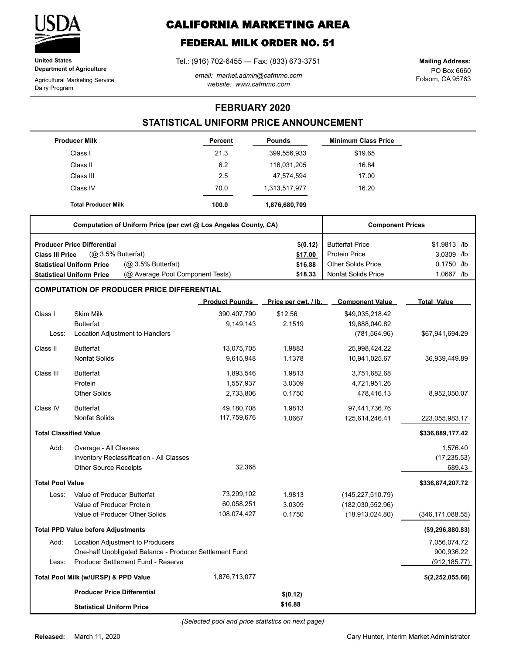

**United States Department of Agriculture**

Agricultural Marketing Service Dairy Program

# **CALIFORNIA MARKETING AREA**

# **FEDERAL MILK ORDER NO. 51**

Tel.: (916) 702-6455 --- Fax: (833) 673-3751

*email: market.admin@cafmmo.com website: www.cafmmo.com*

PO Box 6660 Folsom, CA 95763 **Mailing Address:**

### **FEBRUARY 2020**

## **STATISTICAL UNIFORM PRICE ANNOUNCEMENT**

|                               | <b>Producer Milk</b>                                                 | <b>Percent</b>        | <b>Pounds</b>        | <b>Minimum Class Price</b> |                    |
|-------------------------------|----------------------------------------------------------------------|-----------------------|----------------------|----------------------------|--------------------|
|                               | Class I                                                              | 21.3                  | 399,556,933          | \$19.65                    |                    |
|                               | Class II                                                             | 6.2                   | 116,031,205          | 16.84                      |                    |
|                               | Class III                                                            | 2.5                   | 47,574,594           | 17.00                      |                    |
|                               | Class IV                                                             | 70.0                  | 1,313,517,977        | 16.20                      |                    |
|                               | <b>Total Producer Milk</b>                                           | 100.0                 | 1,876,680,709        |                            |                    |
|                               | Computation of Uniform Price (per cwt @ Los Angeles County, CA)      |                       |                      | <b>Component Prices</b>    |                    |
|                               | <b>Producer Price Differential</b>                                   |                       | \$(0.12)             | <b>Butterfat Price</b>     | \$1.9813 /lb       |
| <b>Class III Price</b>        | $(Q0 3.5%$ Butterfat)                                                |                       | \$17.00              | <b>Protein Price</b>       | 3.0309 /lb         |
|                               | (Q <sub>2</sub> 3.5% Butterfat)<br><b>Statistical Uniform Price</b>  |                       | \$16.88              | <b>Other Solids Price</b>  | 0.1750 /lb         |
|                               | (@ Average Pool Component Tests)<br><b>Statistical Uniform Price</b> |                       | \$18.33              | <b>Nonfat Solids Price</b> | 1.0667 /lb         |
|                               | <b>COMPUTATION OF PRODUCER PRICE DIFFERENTIAL</b>                    |                       |                      |                            |                    |
|                               |                                                                      | <b>Product Pounds</b> | Price per cwt. / lb. | <b>Component Value</b>     | <b>Total Value</b> |
| Class I                       | <b>Skim Milk</b>                                                     | 390,407,790           | \$12.56              | \$49,035,218.42            |                    |
|                               | <b>Butterfat</b>                                                     | 9,149,143             | 2.1519               | 19,688,040.82              |                    |
| Less:                         | Location Adjustment to Handlers                                      |                       |                      | (781, 564.96)              | \$67,941,694.29    |
| Class II                      | <b>Butterfat</b>                                                     | 13,075,705            | 1.9883               | 25,998,424.22              |                    |
|                               | <b>Nonfat Solids</b>                                                 | 9,615,948             | 1.1378               | 10,941,025.67              | 36,939,449.89      |
| Class III                     | <b>Butterfat</b>                                                     | 1,893,546             | 1.9813               | 3,751,682.68               |                    |
|                               | Protein                                                              | 1,557,937             | 3.0309               | 4,721,951.26               |                    |
|                               | <b>Other Solids</b>                                                  | 2,733,806             | 0.1750               | 478,416.13                 | 8,952,050.07       |
| Class IV                      | <b>Butterfat</b>                                                     | 49,180,708            | 1.9813               | 97,441,736.76              |                    |
|                               | <b>Nonfat Solids</b>                                                 | 117,759,676           | 1.0667               | 125,614,246.41             | 223,055,983.17     |
| <b>Total Classified Value</b> |                                                                      |                       |                      |                            | \$336,889,177.42   |
| Add:                          | Overage - All Classes                                                |                       |                      |                            | 1,576.40           |
|                               | Inventory Reclassification - All Classes                             |                       |                      |                            | (17, 235.53)       |
|                               | <b>Other Source Receipts</b>                                         | 32,368                |                      |                            | 689.43             |
| <b>Total Pool Value</b>       |                                                                      |                       |                      |                            | \$336,874,207.72   |
| Less:                         | Value of Producer Butterfat                                          | 73,299,102            | 1.9813               | (145, 227, 510.79)         |                    |
|                               | Value of Producer Protein                                            | 60,058,251            | 3.0309               | (182,030,552.96)           |                    |
|                               | Value of Producer Other Solids                                       | 108,074,427           | 0.1750               | (18,913,024.80)            | (346, 171, 088.55) |
|                               | <b>Total PPD Value before Adjustments</b>                            |                       |                      |                            | (\$9,296,880.83)   |
| Add:                          | Location Adjustment to Producers                                     |                       |                      |                            | 7,056,074.72       |
|                               | One-half Unobligated Balance - Producer Settlement Fund              |                       |                      |                            | 900,936.22         |
| Less:                         | Producer Settlement Fund - Reserve                                   |                       |                      |                            | (912, 185.77)      |
|                               | Total Pool Milk (w/URSP) & PPD Value                                 | 1,876,713,077         |                      |                            | \$(2,252,055.66)   |
|                               | <b>Producer Price Differential</b>                                   |                       | \$(0.12)             |                            |                    |
|                               | <b>Statistical Uniform Price</b>                                     |                       | \$16.88              |                            |                    |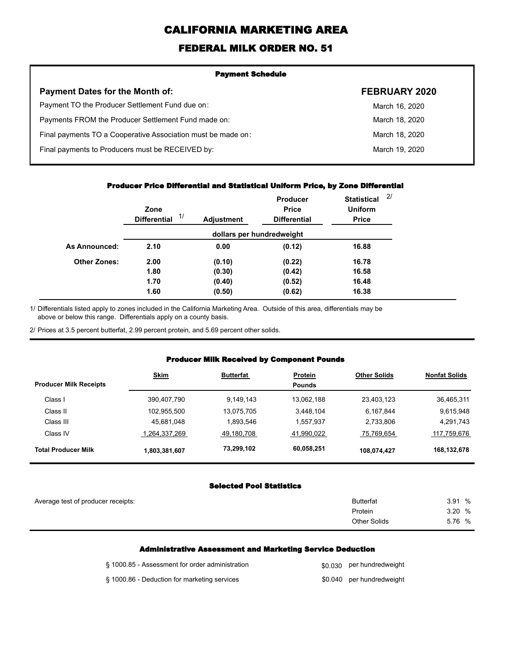# **CALIFORNIA MARKETING AREA**

## **FEDERAL MILK ORDER NO. 51**

| <b>Payment Schedule</b>                                      |                |  |  |
|--------------------------------------------------------------|----------------|--|--|
| <b>Payment Dates for the Month of:</b>                       | FEBRUARY 2020  |  |  |
| Payment TO the Producer Settlement Fund due on:              | March 16, 2020 |  |  |
| Payments FROM the Producer Settlement Fund made on:          | March 18, 2020 |  |  |
| Final payments TO a Cooperative Association must be made on: | March 18, 2020 |  |  |
| Final payments to Producers must be RECEIVED by:             | March 19, 2020 |  |  |
|                                                              |                |  |  |

#### **Producer Price Differential and Statistical Uniform Price, by Zone Differential**

|                     | Zone<br>1/<br><b>Differential</b> | <b>Adjustment</b> | <b>Producer</b><br><b>Price</b><br><b>Differential</b> | <b>Statistical</b><br><b>Uniform</b><br><b>Price</b> | 2/ |
|---------------------|-----------------------------------|-------------------|--------------------------------------------------------|------------------------------------------------------|----|
|                     |                                   |                   | dollars per hundredweight                              |                                                      |    |
| As Announced:       | 2.10                              | 0.00              | (0.12)                                                 | 16.88                                                |    |
| <b>Other Zones:</b> | 2.00                              | (0.10)            | (0.22)                                                 | 16.78                                                |    |
|                     | 1.80                              | (0.30)            | (0.42)                                                 | 16.58                                                |    |
|                     | 1.70                              | (0.40)            | (0.52)                                                 | 16.48                                                |    |
|                     | 1.60                              | (0.50)            | (0.62)                                                 | 16.38                                                |    |

Differentials listed apply to zones included in the California Marketing Area. Outside of this area, differentials may be above or below this range. Differentials apply on a county basis. 1/

2/ Prices at 3.5 percent butterfat, 2.99 percent protein, and 5.69 percent other solids.

#### **Producer Milk Received by Component Pounds**

| <b>Producer Milk Receipts</b> | <b>Skim</b>   | <b>Butterfat</b> | <b>Protein</b><br><b>Pounds</b> | <b>Other Solids</b> | <b>Nonfat Solids</b> |
|-------------------------------|---------------|------------------|---------------------------------|---------------------|----------------------|
| Class I                       | 390,407,790   | 9.149.143        | 13.062.188                      | 23,403,123          | 36,465,311           |
| Class II                      | 102,955,500   | 13.075.705       | 3.448.104                       | 6,167,844           | 9.615.948            |
| Class III                     | 45,681,048    | 1.893.546        | 1,557,937                       | 2.733.806           | 4,291,743            |
| Class IV                      | 1,264,337,269 | 49,180,708       | 41,990,022                      | 75,769,654          | 117,759,676          |
| <b>Total Producer Milk</b>    | 1,803,381,607 | 73,299,102       | 60,058,251                      | 108,074,427         | 168,132,678          |

### **Selected Pool Statistics**

| Average test of producer receipts: | <b>Butterfat</b>    | 3.91 % |
|------------------------------------|---------------------|--------|
|                                    | Protein             | 3.20 % |
|                                    | <b>Other Solids</b> | 5.76 % |
|                                    |                     |        |

#### **Administrative Assessment and Marketing Service Deduction**

| § 1000.85 - Assessment for order administration | \$0,030 per hundredweight |
|-------------------------------------------------|---------------------------|
| § 1000.86 - Deduction for marketing services    | \$0.040 per hundredweight |